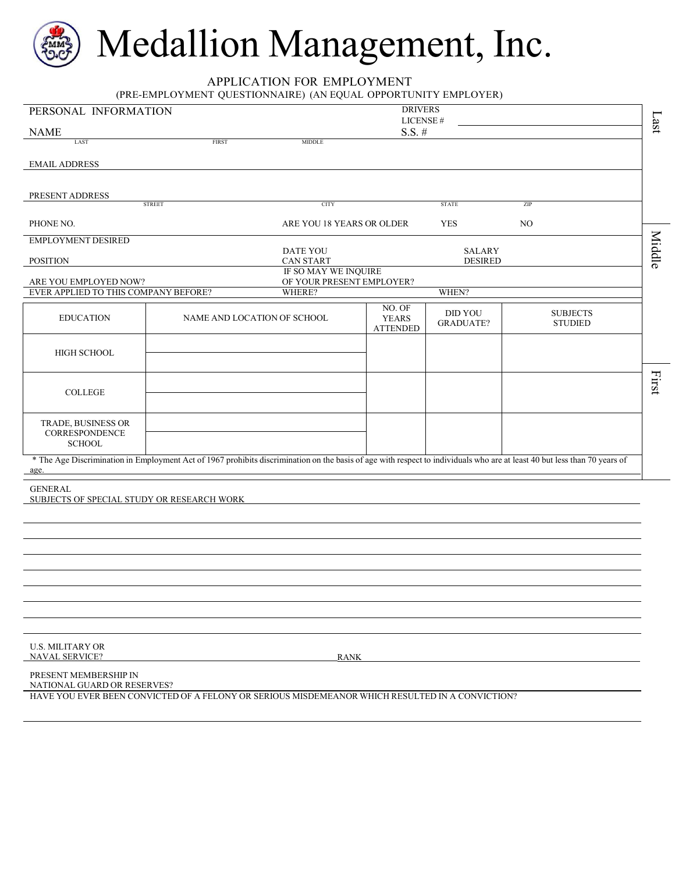# Medallion Management, Inc.

APPLICATION FOR EMPLOYMENT

(PRE-EMPLOYMENT QUESTIONNAIRE) (AN EQUAL OPPORTUNITY EMPLOYER)

| PERSONAL INFORMATION                                                                                                                                                              |                             |                                                   | <b>DRIVERS</b>                            |                                    |                                   |         |
|-----------------------------------------------------------------------------------------------------------------------------------------------------------------------------------|-----------------------------|---------------------------------------------------|-------------------------------------------|------------------------------------|-----------------------------------|---------|
| <b>NAME</b>                                                                                                                                                                       |                             |                                                   | LICENSE#<br>$S.S.$ #                      |                                    |                                   | $1$ ast |
| LAST                                                                                                                                                                              | <b>FIRST</b>                | <b>MIDDLE</b>                                     |                                           |                                    |                                   |         |
| <b>EMAIL ADDRESS</b>                                                                                                                                                              |                             |                                                   |                                           |                                    |                                   |         |
|                                                                                                                                                                                   |                             |                                                   |                                           |                                    |                                   |         |
| PRESENT ADDRESS                                                                                                                                                                   |                             |                                                   |                                           |                                    |                                   |         |
|                                                                                                                                                                                   | <b>STREET</b>               | <b>CITY</b>                                       |                                           | <b>STATE</b>                       | ZIP                               |         |
| PHONE NO.                                                                                                                                                                         |                             | ARE YOU 18 YEARS OR OLDER                         |                                           | <b>YES</b>                         | NO                                |         |
| <b>EMPLOYMENT DESIRED</b>                                                                                                                                                         |                             | DATE YOU                                          |                                           | <b>SALARY</b>                      |                                   | Middle  |
| <b>POSITION</b>                                                                                                                                                                   |                             | <b>CAN START</b>                                  |                                           | <b>DESIRED</b>                     |                                   |         |
|                                                                                                                                                                                   |                             | IF SO MAY WE INQUIRE<br>OF YOUR PRESENT EMPLOYER? |                                           |                                    |                                   |         |
| ARE YOU EMPLOYED NOW?<br>EVER APPLIED TO THIS COMPANY BEFORE?                                                                                                                     |                             | WHERE?                                            |                                           | WHEN?                              |                                   |         |
| <b>EDUCATION</b>                                                                                                                                                                  | NAME AND LOCATION OF SCHOOL |                                                   | NO. OF<br><b>YEARS</b><br><b>ATTENDED</b> | <b>DID YOU</b><br><b>GRADUATE?</b> | <b>SUBJECTS</b><br><b>STUDIED</b> |         |
| <b>HIGH SCHOOL</b>                                                                                                                                                                |                             |                                                   |                                           |                                    |                                   |         |
| <b>COLLEGE</b>                                                                                                                                                                    |                             |                                                   |                                           |                                    |                                   | First   |
| TRADE, BUSINESS OR<br>CORRESPONDENCE<br><b>SCHOOL</b>                                                                                                                             |                             |                                                   |                                           |                                    |                                   |         |
| * The Age Discrimination in Employment Act of 1967 prohibits discrimination on the basis of age with respect to individuals who are at least 40 but less than 70 years of<br>age. |                             |                                                   |                                           |                                    |                                   |         |
| <b>GENERAL</b><br>SUBJECTS OF SPECIAL STUDY OR RESEARCH WORK                                                                                                                      |                             |                                                   |                                           |                                    |                                   |         |
|                                                                                                                                                                                   |                             |                                                   |                                           |                                    |                                   |         |
|                                                                                                                                                                                   |                             |                                                   |                                           |                                    |                                   |         |
|                                                                                                                                                                                   |                             |                                                   |                                           |                                    |                                   |         |
|                                                                                                                                                                                   |                             |                                                   |                                           |                                    |                                   |         |
|                                                                                                                                                                                   |                             |                                                   |                                           |                                    |                                   |         |
|                                                                                                                                                                                   |                             |                                                   |                                           |                                    |                                   |         |
|                                                                                                                                                                                   |                             |                                                   |                                           |                                    |                                   |         |
|                                                                                                                                                                                   |                             |                                                   |                                           |                                    |                                   |         |
| <b>U.S. MILITARY OR</b><br><b>NAVAL SERVICE?</b>                                                                                                                                  |                             | <b>RANK</b>                                       |                                           |                                    |                                   |         |
| PRESENT MEMBERSHIP IN<br>NATIONAL GUARD OR RESERVES?                                                                                                                              |                             |                                                   |                                           |                                    |                                   |         |
| HAVE YOU EVER BEEN CONVICTED OF A FELONY OR SERIOUS MISDEMEANOR WHICH RESULTED IN A CONVICTION?                                                                                   |                             |                                                   |                                           |                                    |                                   |         |
|                                                                                                                                                                                   |                             |                                                   |                                           |                                    |                                   |         |
|                                                                                                                                                                                   |                             |                                                   |                                           |                                    |                                   |         |
|                                                                                                                                                                                   |                             |                                                   |                                           |                                    |                                   |         |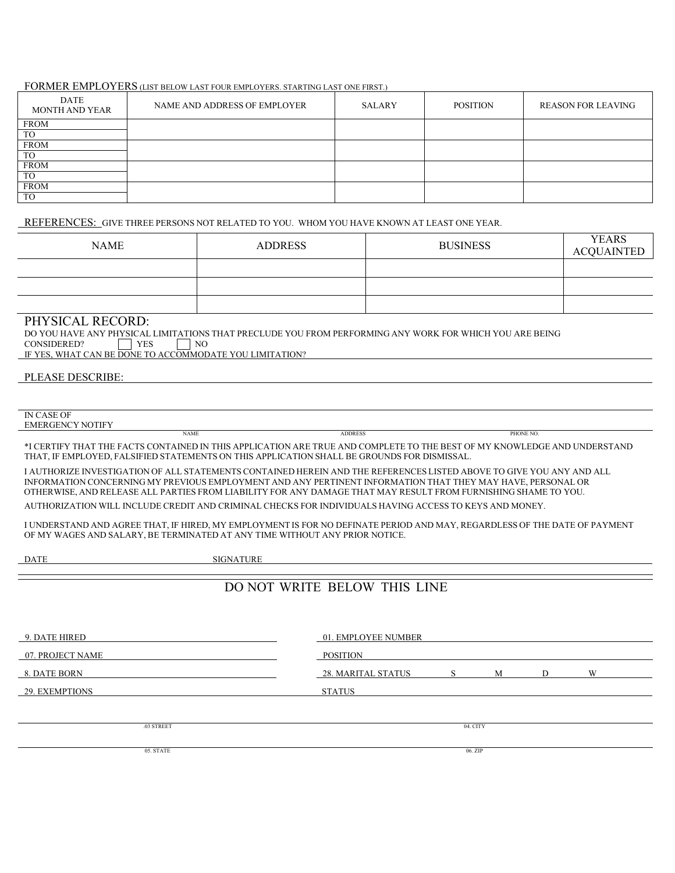#### FORMER EMPLOYERS (LIST BELOW LAST FOUR EMPLOYERS. STARTING LAST ONE FIRST.)

| <b>DATE</b><br>MONTH AND YEAR | NAME AND ADDRESS OF EMPLOYER | SALARY | <b>POSITION</b> | <b>REASON FOR LEAVING</b> |
|-------------------------------|------------------------------|--------|-----------------|---------------------------|
| <b>FROM</b>                   |                              |        |                 |                           |
| <b>TO</b>                     |                              |        |                 |                           |
| <b>FROM</b>                   |                              |        |                 |                           |
| TO                            |                              |        |                 |                           |
| <b>FROM</b>                   |                              |        |                 |                           |
| TO                            |                              |        |                 |                           |
| <b>FROM</b>                   |                              |        |                 |                           |
| <b>TO</b>                     |                              |        |                 |                           |

REFERENCES: GIVE THREE PERSONS NOT RELATED TO YOU. WHOM YOU HAVE KNOWN AT LEAST ONE YEAR.

| <b>NAME</b> | <b>ADDRESS</b> | <b>BUSINESS</b> | <b>YEARS</b><br>ACQUAINTED |
|-------------|----------------|-----------------|----------------------------|
|             |                |                 |                            |
|             |                |                 |                            |
|             |                |                 |                            |

#### PHYSICAL RECORD:

DO YOU HAVE ANY PHYSICAL LIMITATIONS THAT PRECLUDE YOU FROM PERFORMING ANY WORK FOR WHICH YOU ARE BEING CONSIDERED?  $\Box$  YES  $\Box$  NO CONSIDERED?

IF YES, WHAT CAN BE DONE TO ACCOMMODATE YOU LIMITATION?

#### PLEASE DESCRIBE:

IN CASE OF<br>EMERGENCY NOTIFY

EMERGENCY NOTIFY NAME ADDRESS PHONE NO.

\*I CERTIFY THAT THE FACTS CONTAINED IN THIS APPLICATION ARE TRUE AND COMPLETE TO THE BEST OF MY KNOWLEDGE AND UNDERSTAND THAT, IF EMPLOYED, FALSIFIED STATEMENTS ON THIS APPLICATION SHALL BE GROUNDS FOR DISMISSAL.

I AUTHORIZE INVESTIGATION OF ALL STATEMENTS CONTAINED HEREIN AND THE REFERENCES LISTED ABOVE TO GIVE YOU ANY AND ALL INFORMATION CONCERNING MY PREVIOUS EMPLOYMENT AND ANY PERTINENT INFORMATION THAT THEY MAY HAVE, PERSONAL OR OTHERWISE, AND RELEASE ALL PARTIES FROM LIABILITY FOR ANY DAMAGE THAT MAY RESULT FROM FURNISHING SHAME TO YOU.

AUTHORIZATION WILL INCLUDE CREDIT AND CRIMINAL CHECKS FOR INDIVIDUALS HAVING ACCESS TO KEYS AND MONEY.

I UNDERSTAND AND AGREE THAT, IF HIRED, MY EMPLOYMENT IS FOR NO DEFINATE PERIOD AND MAY, REGARDLESS OF THE DATE OF PAYMENT OF MY WAGES AND SALARY, BE TERMINATED AT ANY TIME WITHOUT ANY PRIOR NOTICE.

DATE SIGNATURE

## DO NOT WRITE BELOW THIS LINE

| 9. DATE HIRED    | 01. EMPLOYEE NUMBER |          |   |   |   |  |
|------------------|---------------------|----------|---|---|---|--|
| 07. PROJECT NAME | POSITION            |          |   |   |   |  |
| 8. DATE BORN     | 28. MARITAL STATUS  | S        | M | D | W |  |
| 29. EXEMPTIONS   | <b>STATUS</b>       |          |   |   |   |  |
|                  |                     |          |   |   |   |  |
| .03 STREET       |                     | 04. CITY |   |   |   |  |
|                  |                     |          |   |   |   |  |
| 05. STATE        |                     | 06. ZIP  |   |   |   |  |
|                  |                     |          |   |   |   |  |